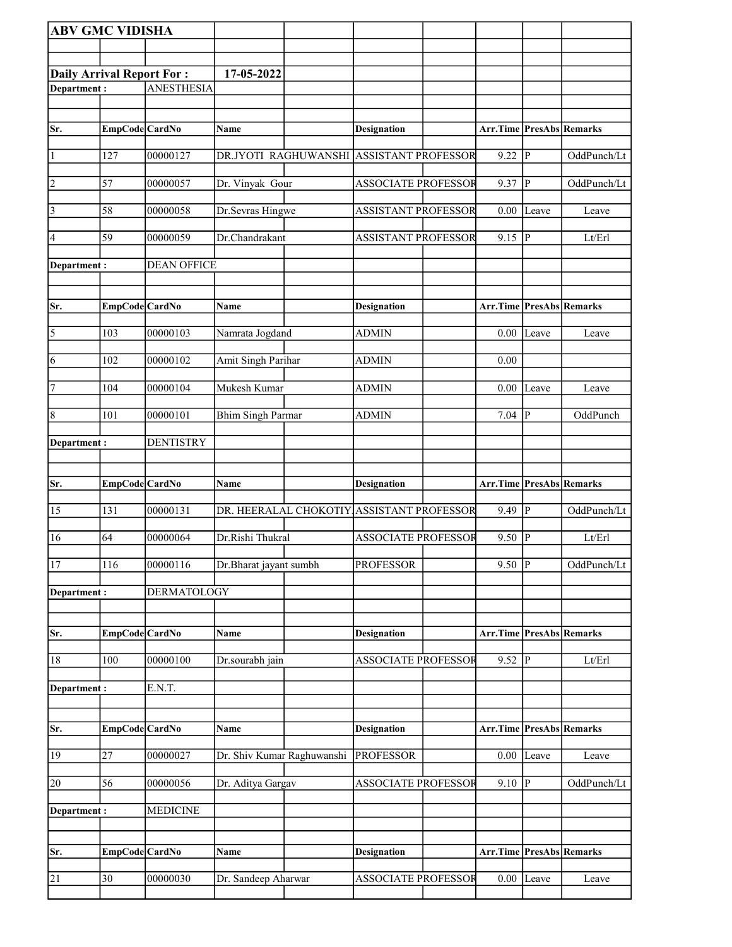| <b>ABV GMC VIDISHA</b>           |                |                    |                            |                                           |                                 |              |             |
|----------------------------------|----------------|--------------------|----------------------------|-------------------------------------------|---------------------------------|--------------|-------------|
|                                  |                |                    |                            |                                           |                                 |              |             |
| <b>Daily Arrival Report For:</b> |                |                    | 17-05-2022                 |                                           |                                 |              |             |
| Department:                      |                | <b>ANESTHESIA</b>  |                            |                                           |                                 |              |             |
|                                  |                |                    |                            |                                           |                                 |              |             |
| Sr.                              | EmpCode CardNo |                    | Name                       | <b>Designation</b>                        | Arr.Time PresAbs Remarks        |              |             |
| $\vert$ 1                        | 127            | 00000127           |                            | DR.JYOTI RAGHUWANSHI ASSISTANT PROFESSOR  | 9.22                            | P            | OddPunch/Lt |
| $ 2\rangle$                      | 57             | 00000057           | Dr. Vinyak Gour            | <b>ASSOCIATE PROFESSOR</b>                | $9.37$ P                        |              | OddPunch/Lt |
| $\vert$ 3                        | 58             | 00000058           | Dr.Sevras Hingwe           | <b>ASSISTANT PROFESSOR</b>                |                                 | $0.00$ Leave | Leave       |
| 4                                | 59             | 00000059           | Dr.Chandrakant             | <b>ASSISTANT PROFESSOR</b>                | 9.15  P                         |              | Lt/Erl      |
| Department:                      |                | <b>DEAN OFFICE</b> |                            |                                           |                                 |              |             |
|                                  |                |                    |                            |                                           |                                 |              |             |
| Sr.                              | EmpCode CardNo |                    | Name                       | <b>Designation</b>                        | <b>Arr.Time PresAbs Remarks</b> |              |             |
| 5                                | 103            | 00000103           | Namrata Jogdand            | <b>ADMIN</b>                              |                                 | $0.00$ Leave | Leave       |
| 6                                | 102            | 00000102           | Amit Singh Parihar         | <b>ADMIN</b>                              | 0.00                            |              |             |
| 7                                | 104            | 00000104           | Mukesh Kumar               | <b>ADMIN</b>                              | 0.00                            | Leave        | Leave       |
| 8                                | 101            | 00000101           | <b>Bhim Singh Parmar</b>   | <b>ADMIN</b>                              | $7.04$ P                        |              | OddPunch    |
| Department :                     |                | <b>DENTISTRY</b>   |                            |                                           |                                 |              |             |
|                                  |                |                    |                            |                                           |                                 |              |             |
| Sr.                              | EmpCode CardNo |                    | Name                       | <b>Designation</b>                        | Arr.Time PresAbs Remarks        |              |             |
| 15                               | 131            | 00000131           |                            | DR. HEERALAL CHOKOTIY ASSISTANT PROFESSOR | $9.49$ $\overline{P}$           |              | OddPunch/Lt |
| 16                               | 64             | 00000064           | Dr.Rishi Thukral           | <b>ASSOCIATE PROFESSOR</b>                | $9.50$ P                        |              | Lt/Erl      |
| <sup>17</sup>                    | 116            | 00000116           | Dr.Bharat jayant sumbh     | <b>PROFESSOR</b>                          | $9.50$ P                        |              | OddPunch/Lt |
| Department:                      |                | <b>DERMATOLOGY</b> |                            |                                           |                                 |              |             |
| Sr.                              | EmpCode CardNo |                    | Name                       | <b>Designation</b>                        | Arr.Time PresAbs Remarks        |              |             |
| 18                               | 100            | 00000100           | Dr.sourabh jain            | <b>ASSOCIATE PROFESSOR</b>                | 9.52 $ \bar{P} $                |              | Lt/Erl      |
| Department :                     |                | E.N.T.             |                            |                                           |                                 |              |             |
|                                  |                |                    |                            |                                           |                                 |              |             |
| Sr.                              | EmpCode CardNo |                    | Name                       | <b>Designation</b>                        | Arr.Time PresAbs Remarks        |              |             |
| 19                               | 27             | 00000027           | Dr. Shiv Kumar Raghuwanshi | <b>PROFESSOR</b>                          |                                 | $0.00$ Leave | Leave       |
| 20                               | 56             | 00000056           | Dr. Aditya Gargav          | <b>ASSOCIATE PROFESSOR</b>                | $9.10$ P                        |              | OddPunch/Lt |
| Department:                      |                | <b>MEDICINE</b>    |                            |                                           |                                 |              |             |
|                                  |                |                    |                            |                                           |                                 |              |             |
| Sr.                              | EmpCode CardNo |                    | Name                       | <b>Designation</b>                        | Arr.Time PresAbs Remarks        |              |             |
| 21                               | 30             | 00000030           | Dr. Sandeep Aharwar        | <b>ASSOCIATE PROFESSOR</b>                |                                 | $0.00$ Leave | Leave       |
|                                  |                |                    |                            |                                           |                                 |              |             |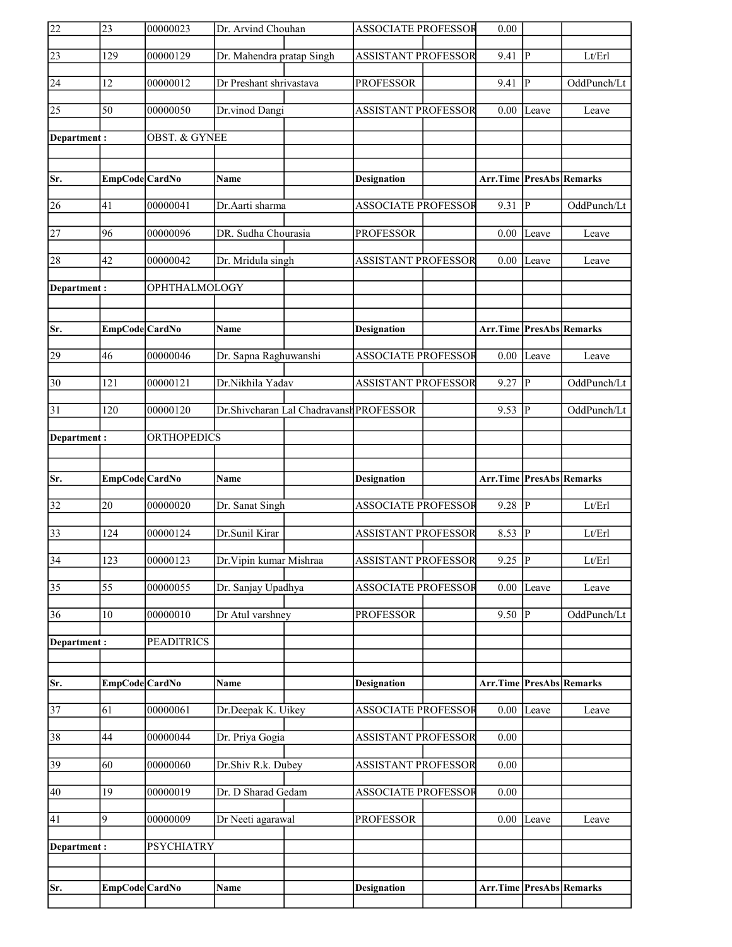| 22              | 23              | 00000023             | Dr. Arvind Chouhan        |                                         | <b>ASSOCIATE PROFESSOR</b> | 0.00                            |       |             |
|-----------------|-----------------|----------------------|---------------------------|-----------------------------------------|----------------------------|---------------------------------|-------|-------------|
| 23              | 129             | 00000129             | Dr. Mahendra pratap Singh |                                         | <b>ASSISTANT PROFESSOR</b> | 9.41                            | P     | Lt/Erl      |
| 24              | 12              | 00000012             | Dr Preshant shrivastava   |                                         | <b>PROFESSOR</b>           | 9.41                            | P     | OddPunch/Lt |
| $\overline{25}$ | 50              | 00000050             | Dr.vinod Dangi            |                                         | <b>ASSISTANT PROFESSOR</b> | 0.00                            | Leave | Leave       |
| Department:     |                 | OBST. & GYNEE        |                           |                                         |                            |                                 |       |             |
|                 |                 |                      |                           |                                         |                            |                                 |       |             |
| Sr.             | EmpCode CardNo  |                      | <b>Name</b>               |                                         | <b>Designation</b>         | <b>Arr.Time PresAbs Remarks</b> |       |             |
| 26              | 41              | 00000041             | Dr.Aarti sharma           |                                         | <b>ASSOCIATE PROFESSOR</b> | 9.31                            | P     | OddPunch/Lt |
| 27              | 96              | 00000096             | DR. Sudha Chourasia       |                                         | <b>PROFESSOR</b>           | 0.00                            | Leave | Leave       |
| 28              | 42              | 00000042             | Dr. Mridula singh         |                                         | <b>ASSISTANT PROFESSOR</b> | 0.00                            | Leave | Leave       |
| Department:     |                 | <b>OPHTHALMOLOGY</b> |                           |                                         |                            |                                 |       |             |
|                 |                 |                      |                           |                                         |                            |                                 |       |             |
| Sr.             | EmpCode CardNo  |                      | <b>Name</b>               |                                         | <b>Designation</b>         | Arr.Time PresAbs Remarks        |       |             |
| 29              | 46              | 00000046             | Dr. Sapna Raghuwanshi     |                                         | <b>ASSOCIATE PROFESSOR</b> | 0.00                            | Leave | Leave       |
| $\overline{30}$ | 121             | 00000121             | Dr.Nikhila Yadav          |                                         | <b>ASSISTANT PROFESSOR</b> | 9.27                            | P     | OddPunch/Lt |
| 31              | 120             | 00000120             |                           | Dr.Shivcharan Lal Chadravansh PROFESSOR |                            | 9.53                            | lР    | OddPunch/Lt |
| Department:     |                 | ORTHOPEDICS          |                           |                                         |                            |                                 |       |             |
|                 |                 |                      |                           |                                         |                            |                                 |       |             |
|                 |                 |                      |                           |                                         |                            |                                 |       |             |
| Sr.             | EmpCode CardNo  |                      | Name                      |                                         | <b>Designation</b>         | <b>Arr.Time PresAbs Remarks</b> |       |             |
| $\overline{32}$ | 20              | 00000020             | Dr. Sanat Singh           |                                         | <b>ASSOCIATE PROFESSOR</b> | $9.28$ P                        |       | Lt/Erl      |
| $\overline{33}$ | 124             | 00000124             | Dr.Sunil Kirar            |                                         | <b>ASSISTANT PROFESSOR</b> | 8.53 $\sqrt{P}$                 |       | Lt/Erl      |
| $\overline{34}$ | 123             | 00000123             | Dr. Vipin kumar Mishraa   |                                         | <b>ASSISTANT PROFESSOR</b> | $9.25$ P                        |       | Lt/Erl      |
| $\overline{35}$ | $\overline{55}$ | 00000055             | Dr. Sanjay Upadhya        |                                         | <b>ASSOCIATE PROFESSOR</b> | $0.00\,$                        | Leave | Leave       |
| 36              | 10              | 00000010             | Dr Atul varshney          |                                         | <b>PROFESSOR</b>           | 9.50                            | lР    | OddPunch/Lt |
| Department:     |                 | <b>PEADITRICS</b>    |                           |                                         |                            |                                 |       |             |
|                 |                 |                      |                           |                                         |                            |                                 |       |             |
| Sr.             | EmpCode CardNo  |                      | Name                      |                                         | <b>Designation</b>         | <b>Arr.Time PresAbs Remarks</b> |       |             |
| $\overline{37}$ | 61              | 00000061             | Dr.Deepak K. Uikey        |                                         | <b>ASSOCIATE PROFESSOR</b> | 0.00                            | Leave | Leave       |
| 38              | 44              | 00000044             | Dr. Priya Gogia           |                                         | <b>ASSISTANT PROFESSOR</b> | 0.00                            |       |             |
| 39              | 60              | 00000060             | Dr.Shiv R.k. Dubey        |                                         | <b>ASSISTANT PROFESSOR</b> | 0.00                            |       |             |
| 40              | 19              | 00000019             | Dr. D Sharad Gedam        |                                         | <b>ASSOCIATE PROFESSOR</b> | 0.00                            |       |             |
| 41              | 9               | 00000009             | Dr Neeti agarawal         |                                         | <b>PROFESSOR</b>           | 0.00                            | Leave | Leave       |
| Department :    |                 | <b>PSYCHIATRY</b>    |                           |                                         |                            |                                 |       |             |
|                 |                 |                      |                           |                                         |                            |                                 |       |             |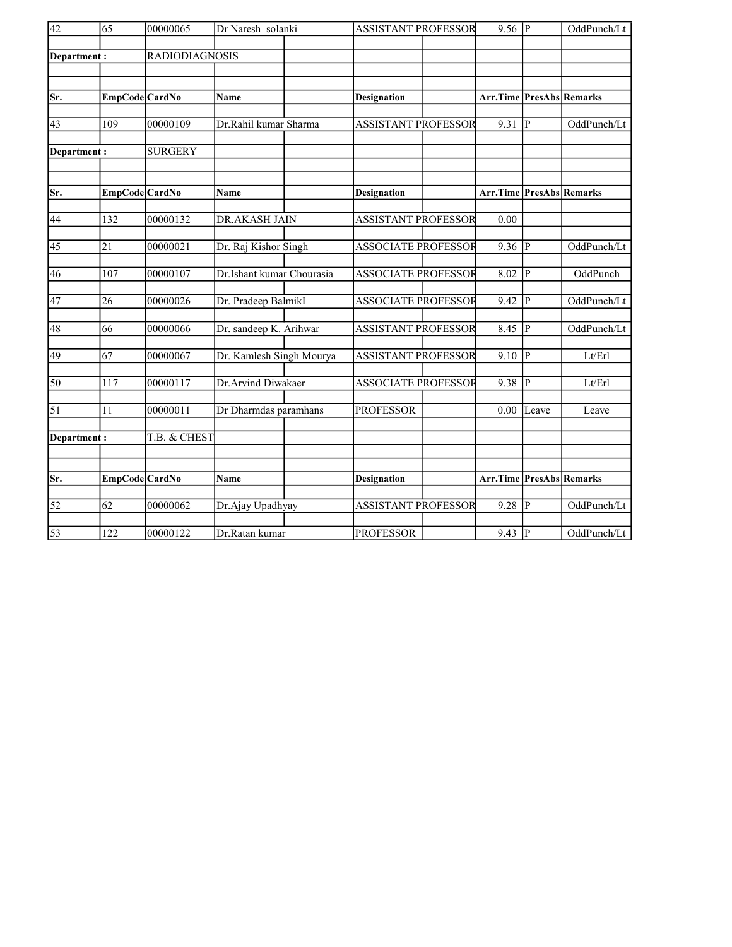| $\overline{42}$ | 65              | 00000065       | Dr Naresh solanki         | <b>ASSISTANT PROFESSOR</b> | $9.56$ P                        |                | OddPunch/Lt |
|-----------------|-----------------|----------------|---------------------------|----------------------------|---------------------------------|----------------|-------------|
| Department:     |                 | RADIODIAGNOSIS |                           |                            |                                 |                |             |
|                 |                 |                |                           |                            |                                 |                |             |
|                 |                 |                |                           |                            |                                 |                |             |
| Sr.             | EmpCode CardNo  |                | Name                      | <b>Designation</b>         | <b>Arr.Time PresAbs Remarks</b> |                |             |
| 43              | 109             | 00000109       | Dr.Rahil kumar Sharma     | <b>ASSISTANT PROFESSOR</b> | 9.31                            | <sup> p</sup>  | OddPunch/Lt |
| Department:     |                 | <b>SURGERY</b> |                           |                            |                                 |                |             |
|                 |                 |                |                           |                            |                                 |                |             |
| Sr.             | EmpCode CardNo  |                | <b>Name</b>               | <b>Designation</b>         | <b>Arr.Time PresAbs Remarks</b> |                |             |
| 44              | 132             | 00000132       | DR.AKASH JAIN             | <b>ASSISTANT PROFESSOR</b> | 0.00                            |                |             |
| 45              | 21              | 00000021       | Dr. Raj Kishor Singh      | <b>ASSOCIATE PROFESSOR</b> | 9.36                            | P              | OddPunch/Lt |
| 46              | 107             | 00000107       | Dr.Ishant kumar Chourasia | <b>ASSOCIATE PROFESSOR</b> | 8.02                            | P              | OddPunch    |
| 47              | 26              | 00000026       | Dr. Pradeep BalmikI       | <b>ASSOCIATE PROFESSOR</b> | 9.42                            | P              | OddPunch/Lt |
|                 |                 |                |                           |                            |                                 |                |             |
| 48              | 66              | 00000066       | Dr. sandeep K. Arihwar    | <b>ASSISTANT PROFESSOR</b> | 8.45                            | P              | OddPunch/Lt |
| 49              | 67              | 00000067       | Dr. Kamlesh Singh Mourya  | <b>ASSISTANT PROFESSOR</b> | 9.10                            | P              | Lt/Erl      |
| 50              | 117             | 00000117       | Dr.Arvind Diwakaer        | <b>ASSOCIATE PROFESSOR</b> | 9.38                            | $\overline{P}$ | Lt/Erl      |
| $\overline{51}$ | 11              | 00000011       | Dr Dharmdas paramhans     | <b>PROFESSOR</b>           | 0.00                            | Leave          | Leave       |
| Department:     |                 | T.B. & CHEST   |                           |                            |                                 |                |             |
|                 |                 |                |                           |                            |                                 |                |             |
| Sr.             | EmpCode CardNo  |                | <b>Name</b>               | <b>Designation</b>         | <b>Arr.Time PresAbs Remarks</b> |                |             |
|                 |                 |                |                           |                            |                                 |                |             |
| $\overline{52}$ | $\overline{62}$ | 00000062       | Dr.Ajay Upadhyay          | <b>ASSISTANT PROFESSOR</b> | 9.28                            | P              | OddPunch/Lt |
| $\overline{53}$ | 122             | 00000122       | Dr.Ratan kumar            | <b>PROFESSOR</b>           | 9.43                            | $\overline{P}$ | OddPunch/Lt |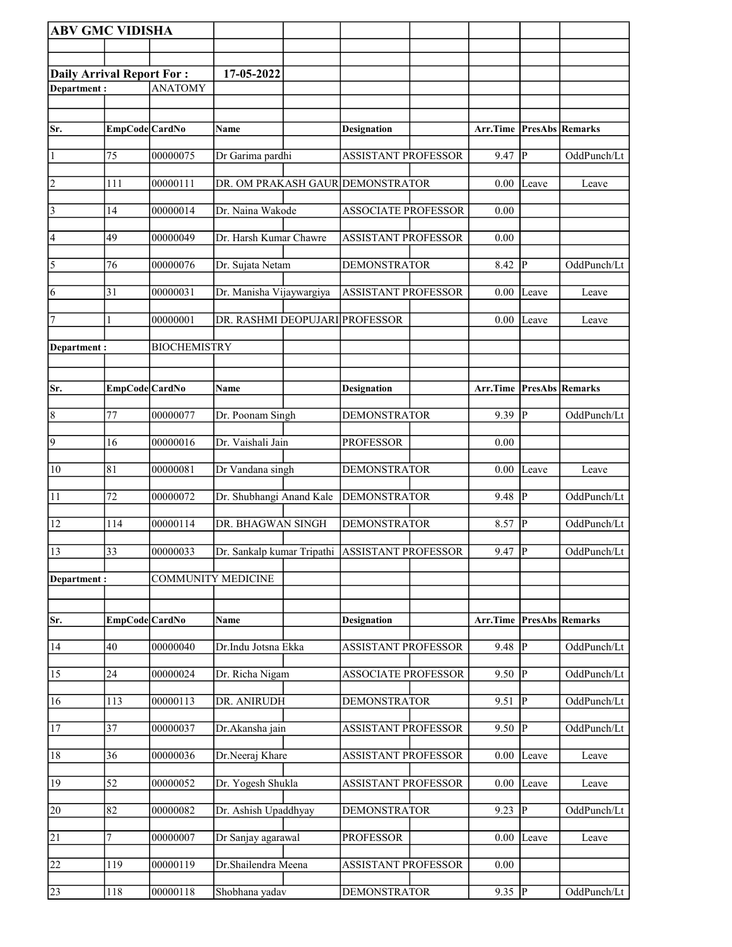| <b>ABV GMC VIDISHA</b>           |                |                           |                                                |                            |                                     |                |                        |
|----------------------------------|----------------|---------------------------|------------------------------------------------|----------------------------|-------------------------------------|----------------|------------------------|
|                                  |                |                           |                                                |                            |                                     |                |                        |
| <b>Daily Arrival Report For:</b> |                |                           | 17-05-2022                                     |                            |                                     |                |                        |
| Department:                      |                | <b>ANATOMY</b>            |                                                |                            |                                     |                |                        |
|                                  |                |                           |                                                |                            |                                     |                |                        |
| Sr.                              | EmpCode CardNo |                           | Name                                           | <b>Designation</b>         | Arr.Time                            |                | <b>PresAbs Remarks</b> |
| $\vert$ 1                        | 75             | 00000075                  | Dr Garima pardhi                               | <b>ASSISTANT PROFESSOR</b> | 9.47                                | P              | OddPunch/Lt            |
| $ 2\rangle$                      | 111            | 00000111                  | DR. OM PRAKASH GAUR DEMONSTRATOR               |                            | 0.00                                | Leave          | Leave                  |
| $\vert$ 3                        | 14             | 00000014                  | Dr. Naina Wakode                               | <b>ASSOCIATE PROFESSOR</b> | 0.00                                |                |                        |
| $\vert 4 \vert$                  | 49             | 00000049                  | Dr. Harsh Kumar Chawre                         | <b>ASSISTANT PROFESSOR</b> | 0.00                                |                |                        |
| $\overline{5}$                   | 76             | 00000076                  | Dr. Sujata Netam                               | <b>DEMONSTRATOR</b>        | 8.42                                | P              | OddPunch/Lt            |
| 6                                | 31             | 00000031                  | Dr. Manisha Vijaywargiya                       | <b>ASSISTANT PROFESSOR</b> | 0.00                                | Leave          | Leave                  |
| 7                                |                | 00000001                  | DR. RASHMI DEOPUJARI PROFESSOR                 |                            | 0.00                                | Leave          | Leave                  |
| Department :                     |                | <b>BIOCHEMISTRY</b>       |                                                |                            |                                     |                |                        |
|                                  |                |                           |                                                |                            |                                     |                |                        |
| Sr.                              | EmpCode CardNo |                           | Name                                           | <b>Designation</b>         | <b>Arr.Time   PresAbs   Remarks</b> |                |                        |
| $\vert 8$                        | 77             | 00000077                  | Dr. Poonam Singh                               | <b>DEMONSTRATOR</b>        | $9.39$ P                            |                | OddPunch/Lt            |
| $\vert$ 9                        | 16             | 00000016                  | Dr. Vaishali Jain                              | <b>PROFESSOR</b>           | 0.00                                |                |                        |
| 10                               | 81             | 00000081                  | Dr Vandana singh                               | <b>DEMONSTRATOR</b>        | 0.00                                | Leave          | Leave                  |
| 11                               | 72             | 00000072                  | Dr. Shubhangi Anand Kale                       | <b>DEMONSTRATOR</b>        | 9.48                                | P              | OddPunch/Lt            |
| 12                               | 114            | 00000114                  | DR. BHAGWAN SINGH                              | <b>DEMONSTRATOR</b>        | 8.57 P                              |                | OddPunch/Lt            |
| 13                               | 33             | 00000033                  | Dr. Sankalp kumar Tripathi ASSISTANT PROFESSOR |                            | $9.47$ P                            |                | OddPunch/Lt            |
| Department:                      |                | <b>COMMUNITY MEDICINE</b> |                                                |                            |                                     |                |                        |
|                                  |                |                           |                                                |                            |                                     |                |                        |
| Sr.                              | EmpCode CardNo |                           | Name                                           | <b>Designation</b>         | Arr.Time                            |                | <b>PresAbs Remarks</b> |
| 14                               | 40             | 00000040                  | Dr.Indu Jotsna Ekka                            | <b>ASSISTANT PROFESSOR</b> | $9.48$ P                            |                | OddPunch/Lt            |
| 15                               | 24             | 00000024                  | Dr. Richa Nigam                                | <b>ASSOCIATE PROFESSOR</b> | 9.50                                | $\overline{P}$ | OddPunch/Lt            |
| 16                               | 113            | 00000113                  | DR. ANIRUDH                                    | <b>DEMONSTRATOR</b>        | 9.51                                | $\overline{P}$ | OddPunch/Lt            |
| <sup>17</sup>                    | 37             | 00000037                  | Dr.Akansha jain                                | <b>ASSISTANT PROFESSOR</b> | 9.50                                | P              | OddPunch/Lt            |
| 18                               | 36             | 00000036                  | Dr.Neeraj Khare                                | <b>ASSISTANT PROFESSOR</b> | 0.00                                | Leave          | Leave                  |
| 19                               | 52             | 00000052                  | Dr. Yogesh Shukla                              | <b>ASSISTANT PROFESSOR</b> | 0.00                                | Leave          | Leave                  |
| 20                               | 82             | 00000082                  | Dr. Ashish Upaddhyay                           | <b>DEMONSTRATOR</b>        | 9.23                                | P              | OddPunch/Lt            |
| $\overline{21}$                  | 7              | 00000007                  | Dr Sanjay agarawal                             | <b>PROFESSOR</b>           | 0.00                                | Leave          | Leave                  |
| 22                               | 119            | 00000119                  | Dr.Shailendra Meena                            | <b>ASSISTANT PROFESSOR</b> | 0.00                                |                |                        |
| 23                               | 118            | 00000118                  | Shobhana yadav                                 | <b>DEMONSTRATOR</b>        | 9.35   $P$                          |                | OddPunch/Lt            |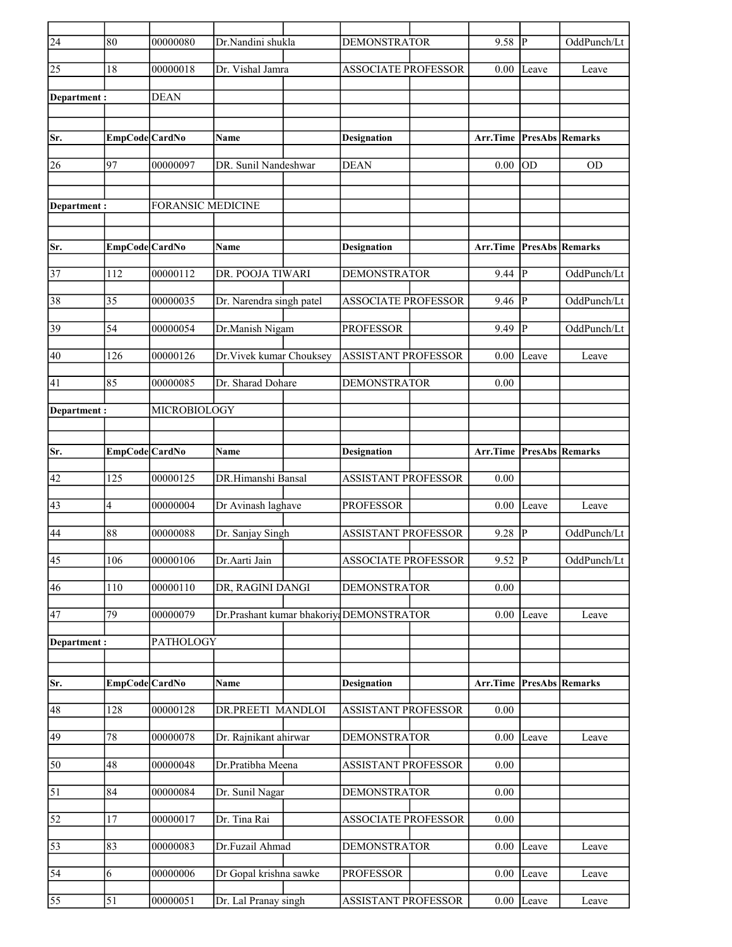| $\overline{24}$ | 80             | 00000080            | Dr.Nandini shukla                        | <b>DEMONSTRATOR</b>        | 9.58                            | $ {\bf p} $  | OddPunch/Lt            |
|-----------------|----------------|---------------------|------------------------------------------|----------------------------|---------------------------------|--------------|------------------------|
| 25              | 18             | 00000018            | Dr. Vishal Jamra                         | <b>ASSOCIATE PROFESSOR</b> | 0.00                            | Leave        | Leave                  |
| Department:     |                | <b>DEAN</b>         |                                          |                            |                                 |              |                        |
|                 |                |                     |                                          |                            |                                 |              |                        |
| Sr.             | EmpCode CardNo |                     | Name                                     | <b>Designation</b>         | <b>Arr.Time PresAbs Remarks</b> |              |                        |
| 26              | 97             | 00000097            | DR. Sunil Nandeshwar                     | <b>DEAN</b>                | 0.00                            | <b>OD</b>    | <b>OD</b>              |
|                 |                |                     |                                          |                            |                                 |              |                        |
| Department:     |                | FORANSIC MEDICINE   |                                          |                            |                                 |              |                        |
|                 |                |                     |                                          |                            |                                 |              |                        |
| Sr.             | EmpCode CardNo |                     | <b>Name</b>                              | <b>Designation</b>         | Arr.Time                        |              | <b>PresAbs Remarks</b> |
| $\overline{37}$ | 112            | 00000112            | DR. POOJA TIWARI                         | <b>DEMONSTRATOR</b>        | 9.44                            | $\mathbf{P}$ | OddPunch/Lt            |
| 38              | 35             | 00000035            | Dr. Narendra singh patel                 | <b>ASSOCIATE PROFESSOR</b> | 9.46                            | P            | OddPunch/Lt            |
| 39              | 54             | 00000054            | Dr.Manish Nigam                          | <b>PROFESSOR</b>           | 9.49                            | P            | OddPunch/Lt            |
|                 |                |                     |                                          |                            |                                 |              |                        |
| 40              | 126            | 00000126            | Dr. Vivek kumar Chouksey                 | <b>ASSISTANT PROFESSOR</b> | 0.00                            | Leave        | Leave                  |
| 41              | 85             | 00000085            | Dr. Sharad Dohare                        | <b>DEMONSTRATOR</b>        | 0.00                            |              |                        |
| Department :    |                | <b>MICROBIOLOGY</b> |                                          |                            |                                 |              |                        |
|                 |                |                     |                                          |                            |                                 |              |                        |
| Sr.             | EmpCode CardNo |                     | <b>Name</b>                              | <b>Designation</b>         | Arr.Time                        |              | <b>PresAbs Remarks</b> |
| 42              | 125            | 00000125            | DR.Himanshi Bansal                       | <b>ASSISTANT PROFESSOR</b> | 0.00                            |              |                        |
| 43              | 4              | 00000004            | Dr Avinash laghave                       | <b>PROFESSOR</b>           | 0.00                            | Leave        | Leave                  |
| 44              | 88             | 00000088            | Dr. Sanjay Singh                         | <b>ASSISTANT PROFESSOR</b> | $9.28$ P                        |              | OddPunch/Lt            |
|                 |                |                     |                                          |                            |                                 |              |                        |
| $\overline{45}$ | 106            | 00000106            | Dr.Aarti Jain                            | <b>ASSOCIATE PROFESSOR</b> | $9.52$ P                        |              | OddPunch/Lt            |
| 46              | 110            | 00000110            | DR, RAGINI DANGI                         | <b>DEMONSTRATOR</b>        | 0.00                            |              |                        |
| 47              | 79             | 00000079            | Dr.Prashant kumar bhakoriya DEMONSTRATOR |                            | 0.00                            | Leave        | Leave                  |
| Department:     |                | PATHOLOGY           |                                          |                            |                                 |              |                        |
|                 |                |                     |                                          |                            |                                 |              |                        |
| Sr.             | EmpCode CardNo |                     | Name                                     | <b>Designation</b>         | Arr.Time                        |              | <b>PresAbs Remarks</b> |
| 48              | 128            | 00000128            | DR.PREETI MANDLOI                        | <b>ASSISTANT PROFESSOR</b> | 0.00                            |              |                        |
| 49              | 78             | 00000078            | Dr. Rajnikant ahirwar                    | <b>DEMONSTRATOR</b>        | 0.00                            | Leave        | Leave                  |
| 50              | 48             | 00000048            | Dr.Pratibha Meena                        | <b>ASSISTANT PROFESSOR</b> | 0.00                            |              |                        |
|                 |                |                     |                                          |                            |                                 |              |                        |
| $\overline{51}$ | 84             | 00000084            | Dr. Sunil Nagar                          | <b>DEMONSTRATOR</b>        | 0.00                            |              |                        |
| 52              | 17             | 00000017            | Dr. Tina Rai                             | <b>ASSOCIATE PROFESSOR</b> | 0.00                            |              |                        |
| 53              | 83             | 00000083            | Dr.Fuzail Ahmad                          | <b>DEMONSTRATOR</b>        | 0.00                            | Leave        | Leave                  |
| 54              | 6              | 00000006            | Dr Gopal krishna sawke                   | <b>PROFESSOR</b>           | 0.00                            | Leave        | Leave                  |
| 55              | 51             | 00000051            | Dr. Lal Pranay singh                     | ASSISTANT PROFESSOR        |                                 | $0.00$ Leave | Leave                  |
|                 |                |                     |                                          |                            |                                 |              |                        |